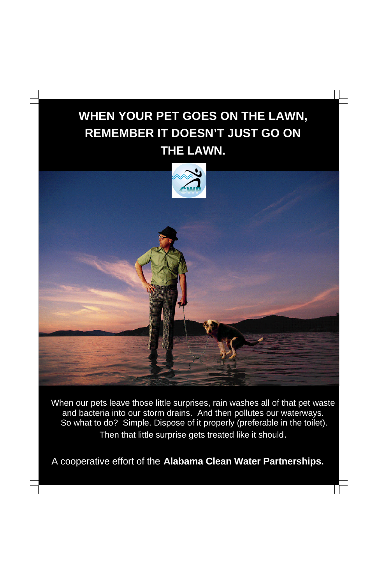A cooperative effort of the **Alabama Clean Water Partnerships.**

## **WHEN YOUR PET GOES ON THE LAWN, REMEMBER IT DOESN'T JUST GO ON THE LAWN.**



When our pets leave those little surprises, rain washes all of that pet waste and bacteria into our storm drains. And then pollutes our waterways. So what to do? Simple. Dispose of it properly (preferable in the toilet).

Then that little surprise gets treated like it should.